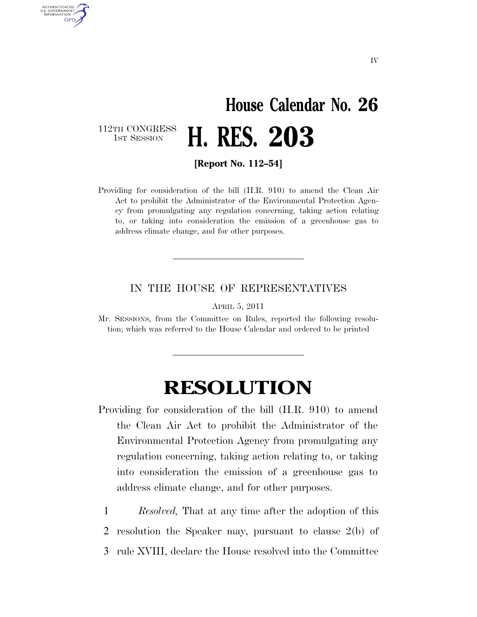## **House Calendar No. 26**  112TH CONGRESS<br>1st Session 1ST SESSION **H. RES. 203**

AUTHENTICATED U.S. GOVERNMENT **GPO** 

**[Report No. 112–54]** 

Providing for consideration of the bill (H.R. 910) to amend the Clean Air Act to prohibit the Administrator of the Environmental Protection Agency from promulgating any regulation concerning, taking action relating to, or taking into consideration the emission of a greenhouse gas to address climate change, and for other purposes.

## IN THE HOUSE OF REPRESENTATIVES

APRIL 5, 2011

Mr. SESSIONS, from the Committee on Rules, reported the following resolution; which was referred to the House Calendar and ordered to be printed

## **RESOLUTION**

- Providing for consideration of the bill (H.R. 910) to amend the Clean Air Act to prohibit the Administrator of the Environmental Protection Agency from promulgating any regulation concerning, taking action relating to, or taking into consideration the emission of a greenhouse gas to address climate change, and for other purposes.
	- 1 *Resolved,* That at any time after the adoption of this
- 2 resolution the Speaker may, pursuant to clause 2(b) of
- 3 rule XVIII, declare the House resolved into the Committee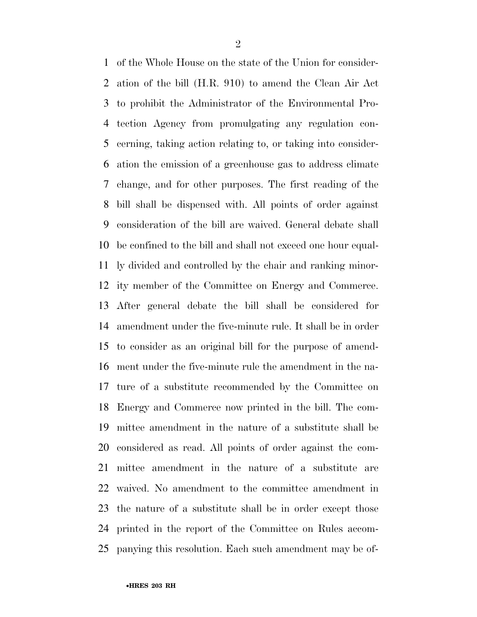of the Whole House on the state of the Union for consider- ation of the bill (H.R. 910) to amend the Clean Air Act to prohibit the Administrator of the Environmental Pro- tection Agency from promulgating any regulation con- cerning, taking action relating to, or taking into consider- ation the emission of a greenhouse gas to address climate change, and for other purposes. The first reading of the bill shall be dispensed with. All points of order against consideration of the bill are waived. General debate shall be confined to the bill and shall not exceed one hour equal- ly divided and controlled by the chair and ranking minor- ity member of the Committee on Energy and Commerce. After general debate the bill shall be considered for amendment under the five-minute rule. It shall be in order to consider as an original bill for the purpose of amend- ment under the five-minute rule the amendment in the na- ture of a substitute recommended by the Committee on Energy and Commerce now printed in the bill. The com- mittee amendment in the nature of a substitute shall be considered as read. All points of order against the com- mittee amendment in the nature of a substitute are waived. No amendment to the committee amendment in the nature of a substitute shall be in order except those printed in the report of the Committee on Rules accom-panying this resolution. Each such amendment may be of-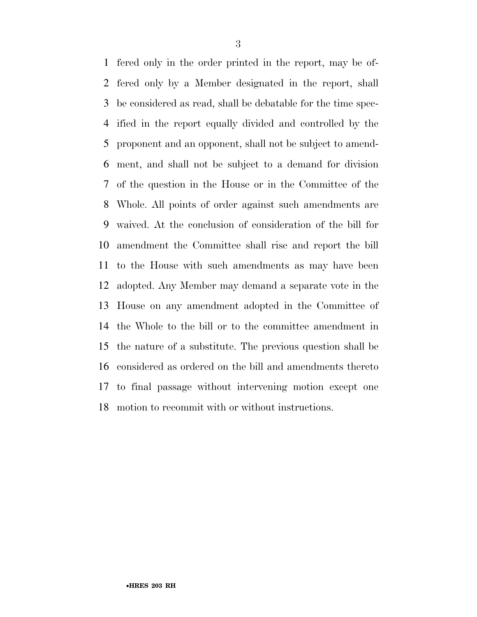fered only in the order printed in the report, may be of- fered only by a Member designated in the report, shall be considered as read, shall be debatable for the time spec- ified in the report equally divided and controlled by the proponent and an opponent, shall not be subject to amend- ment, and shall not be subject to a demand for division of the question in the House or in the Committee of the Whole. All points of order against such amendments are waived. At the conclusion of consideration of the bill for amendment the Committee shall rise and report the bill to the House with such amendments as may have been adopted. Any Member may demand a separate vote in the House on any amendment adopted in the Committee of the Whole to the bill or to the committee amendment in the nature of a substitute. The previous question shall be considered as ordered on the bill and amendments thereto to final passage without intervening motion except one motion to recommit with or without instructions.